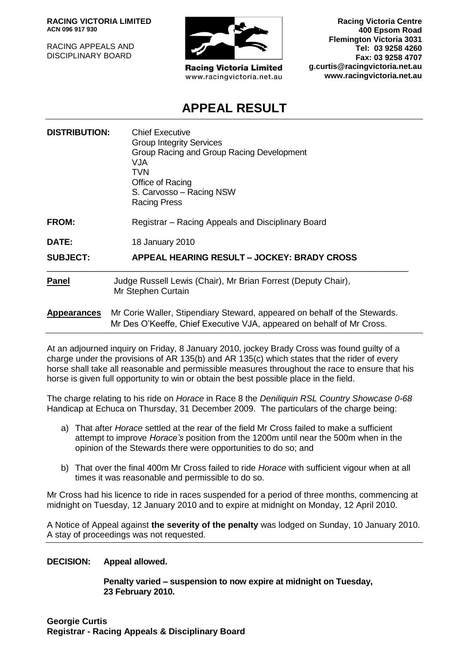**RACING VICTORIA LIMITED ACN 096 917 930**

RACING APPEALS AND DISCIPLINARY BOARD



**Racing Victoria Limited** www.racingvictoria.net.au

**Racing Victoria Centre 400 Epsom Road Flemington Victoria 3031 Tel: 03 9258 4260 Fax: 03 9258 4707 g.curtis@racingvictoria.net.au www.racingvictoria.net.au**

# **APPEAL RESULT**

| <b>DISTRIBUTION:</b> | <b>Chief Executive</b><br><b>Group Integrity Services</b><br>Group Racing and Group Racing Development<br><b>VJA</b><br>TVN.<br>Office of Racing<br>S. Carvosso - Racing NSW<br><b>Racing Press</b> |
|----------------------|-----------------------------------------------------------------------------------------------------------------------------------------------------------------------------------------------------|
| FROM:                | Registrar – Racing Appeals and Disciplinary Board                                                                                                                                                   |
| DATE:                | 18 January 2010                                                                                                                                                                                     |
| <b>SUBJECT:</b>      | APPEAL HEARING RESULT - JOCKEY: BRADY CROSS                                                                                                                                                         |
| <b>Panel</b>         | Judge Russell Lewis (Chair), Mr Brian Forrest (Deputy Chair),<br>Mr Stephen Curtain                                                                                                                 |
| <b>Appearances</b>   | Mr Corie Waller, Stipendiary Steward, appeared on behalf of the Stewards.<br>Mr Des O'Keeffe, Chief Executive VJA, appeared on behalf of Mr Cross.                                                  |

At an adjourned inquiry on Friday, 8 January 2010, jockey Brady Cross was found guilty of a charge under the provisions of AR 135(b) and AR 135(c) which states that the rider of every horse shall take all reasonable and permissible measures throughout the race to ensure that his horse is given full opportunity to win or obtain the best possible place in the field.

The charge relating to his ride on *Horace* in Race 8 the *Deniliquin RSL Country Showcase 0-68* Handicap at Echuca on Thursday, 31 December 2009. The particulars of the charge being:

- a) That after *Horace* settled at the rear of the field Mr Cross failed to make a sufficient attempt to improve *Horace's* position from the 1200m until near the 500m when in the opinion of the Stewards there were opportunities to do so; and
- b) That over the final 400m Mr Cross failed to ride *Horace* with sufficient vigour when at all times it was reasonable and permissible to do so.

Mr Cross had his licence to ride in races suspended for a period of three months, commencing at midnight on Tuesday, 12 January 2010 and to expire at midnight on Monday, 12 April 2010.

A Notice of Appeal against **the severity of the penalty** was lodged on Sunday, 10 January 2010. A stay of proceedings was not requested.

**DECISION: Appeal allowed.** 

**Penalty varied – suspension to now expire at midnight on Tuesday, 23 February 2010.**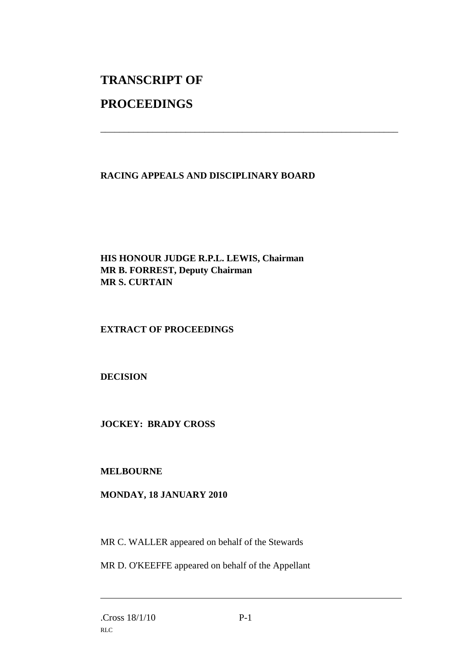# **TRANSCRIPT OF PROCEEDINGS**

## **RACING APPEALS AND DISCIPLINARY BOARD**

\_\_\_\_\_\_\_\_\_\_\_\_\_\_\_\_\_\_\_\_\_\_\_\_\_\_\_\_\_\_\_\_\_\_\_\_\_\_\_\_\_\_\_\_\_\_\_\_\_\_\_\_\_\_\_\_\_\_\_\_\_\_\_

## **HIS HONOUR JUDGE R.P.L. LEWIS, Chairman MR B. FORREST, Deputy Chairman MR S. CURTAIN**

## **EXTRACT OF PROCEEDINGS**

## **DECISION**

#### **JOCKEY: BRADY CROSS**

#### **MELBOURNE**

#### **MONDAY, 18 JANUARY 2010**

MR C. WALLER appeared on behalf of the Stewards

MR D. O'KEEFFE appeared on behalf of the Appellant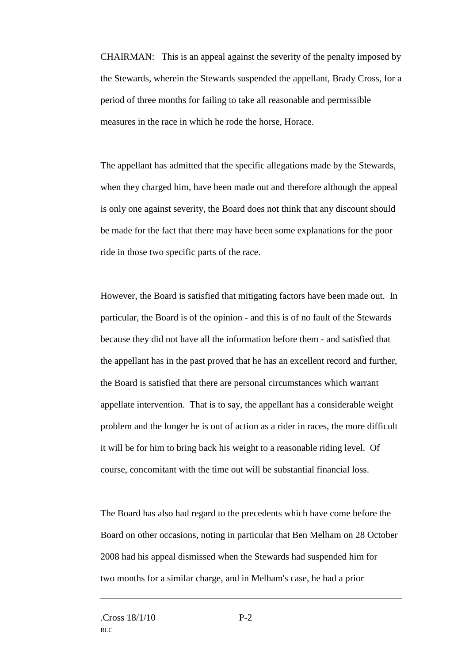CHAIRMAN: This is an appeal against the severity of the penalty imposed by the Stewards, wherein the Stewards suspended the appellant, Brady Cross, for a period of three months for failing to take all reasonable and permissible measures in the race in which he rode the horse, Horace.

The appellant has admitted that the specific allegations made by the Stewards, when they charged him, have been made out and therefore although the appeal is only one against severity, the Board does not think that any discount should be made for the fact that there may have been some explanations for the poor ride in those two specific parts of the race.

However, the Board is satisfied that mitigating factors have been made out. In particular, the Board is of the opinion - and this is of no fault of the Stewards because they did not have all the information before them - and satisfied that the appellant has in the past proved that he has an excellent record and further, the Board is satisfied that there are personal circumstances which warrant appellate intervention. That is to say, the appellant has a considerable weight problem and the longer he is out of action as a rider in races, the more difficult it will be for him to bring back his weight to a reasonable riding level. Of course, concomitant with the time out will be substantial financial loss.

The Board has also had regard to the precedents which have come before the Board on other occasions, noting in particular that Ben Melham on 28 October 2008 had his appeal dismissed when the Stewards had suspended him for two months for a similar charge, and in Melham's case, he had a prior